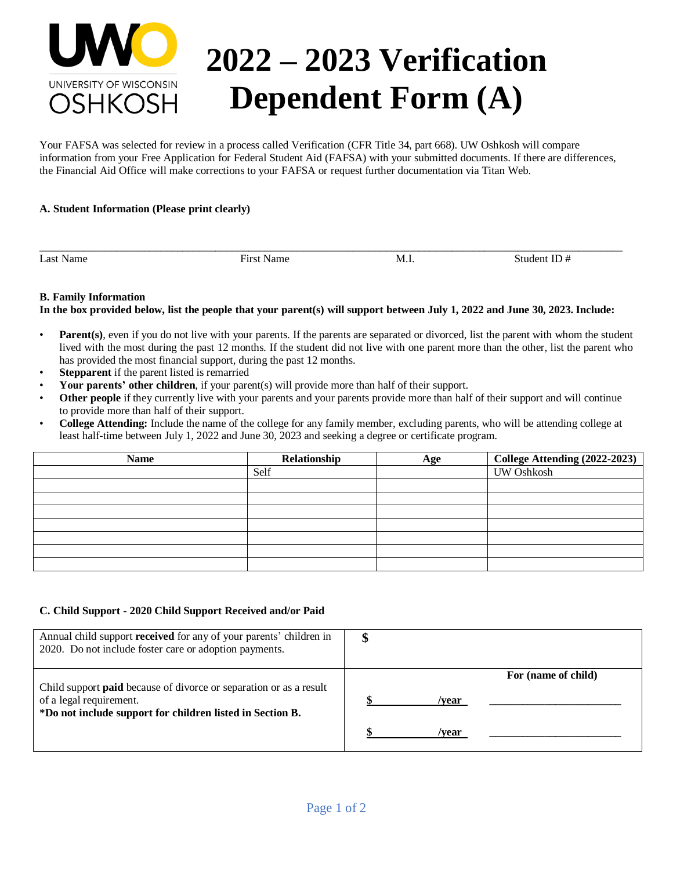

# **2022 – 2023 Verification Dependent Form (A)**

Your FAFSA was selected for review in a process called Verification (CFR Title 34, part 668). UW Oshkosh will compare information from your Free Application for Federal Student Aid (FAFSA) with your submitted documents. If there are differences, the Financial Aid Office will make corrections to your FAFSA or request further documentation via Titan Web.

## **A. Student Information (Please print clearly)**

Last Name Student ID  $\#$  First Name M.I. Student ID  $\#$ 

#### **B. Family Information**

**In the box provided below, list the people that your parent(s) will support between July 1, 2022 and June 30, 2023. Include:** 

\_\_\_\_\_\_\_\_\_\_\_\_\_\_\_\_\_\_\_\_\_\_\_\_\_\_\_\_\_\_\_\_\_\_\_\_\_\_\_\_\_\_\_\_\_\_\_\_\_\_\_\_\_\_\_\_\_\_\_\_\_\_\_\_\_\_\_\_\_\_\_\_\_\_\_\_\_\_\_\_\_\_\_\_\_\_\_\_\_\_\_\_\_\_\_\_\_\_\_\_\_\_\_\_\_\_

- **Parent**(s), even if you do not live with your parents. If the parents are separated or divorced, list the parent with whom the student lived with the most during the past 12 months. If the student did not live with one parent more than the other, list the parent who has provided the most financial support, during the past 12 months.
- **Stepparent** if the parent listed is remarried
- **Your parents' other children**, if your parent(s) will provide more than half of their support.
- Other people if they currently live with your parents and your parents provide more than half of their support and will continue to provide more than half of their support.
- **College Attending:** Include the name of the college for any family member, excluding parents, who will be attending college at least half-time between July 1, 2022 and June 30, 2023 and seeking a degree or certificate program.

| <b>Name</b> | Relationship | Age | College Attending (2022-2023) |
|-------------|--------------|-----|-------------------------------|
|             | Self         |     | <b>UW Oshkosh</b>             |
|             |              |     |                               |
|             |              |     |                               |
|             |              |     |                               |
|             |              |     |                               |
|             |              |     |                               |
|             |              |     |                               |
|             |              |     |                               |

### **C. Child Support - 2020 Child Support Received and/or Paid**

| Annual child support received for any of your parents' children in<br>2020. Do not include foster care or adoption payments.                                      |                |                     |
|-------------------------------------------------------------------------------------------------------------------------------------------------------------------|----------------|---------------------|
| Child support <b>paid</b> because of divorce or separation or as a result<br>of a legal requirement.<br>*Do not include support for children listed in Section B. | /vear<br>/vear | For (name of child) |